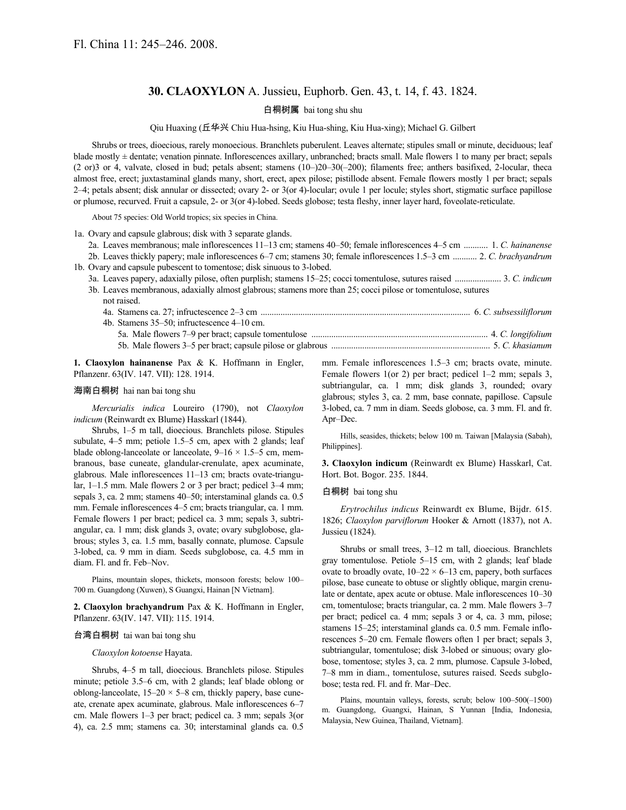# **30. CLAOXYLON** A. Jussieu, Euphorb. Gen. 43, t. 14, f. 43. 1824.

# 白桐树属 bai tong shu shu

Qiu Huaxing (丘华兴 Chiu Hua-hsing, Kiu Hua-shing, Kiu Hua-xing); Michael G. Gilbert

Shrubs or trees, dioecious, rarely monoecious. Branchlets puberulent. Leaves alternate; stipules small or minute, deciduous; leaf blade mostly ± dentate; venation pinnate. Inflorescences axillary, unbranched; bracts small. Male flowers 1 to many per bract; sepals (2 or)3 or 4, valvate, closed in bud; petals absent; stamens (10–)20–30(–200); filaments free; anthers basifixed, 2-locular, theca almost free, erect; juxtastaminal glands many, short, erect, apex pilose; pistillode absent. Female flowers mostly 1 per bract; sepals 2–4; petals absent; disk annular or dissected; ovary 2- or 3(or 4)-locular; ovule 1 per locule; styles short, stigmatic surface papillose or plumose, recurved. Fruit a capsule, 2- or 3(or 4)-lobed. Seeds globose; testa fleshy, inner layer hard, foveolate-reticulate.

About 75 species: Old World tropics; six species in China.

1a. Ovary and capsule glabrous; disk with 3 separate glands.

- 2a. Leaves membranous; male inflorescences 11–13 cm; stamens 40–50; female inflorescences 4–5 cm ........... 1. *C. hainanense* 2b. Leaves thickly papery; male inflorescences 6–7 cm; stamens 30; female inflorescences 1.5–3 cm ........... 2. *C. brachyandrum* 1b. Ovary and capsule pubescent to tomentose; disk sinuous to 3-lobed.
- 3a. Leaves papery, adaxially pilose, often purplish; stamens 15–25; cocci tomentulose, sutures raised ..................... 3. *C. indicum* 3b. Leaves membranous, adaxially almost glabrous; stamens more than 25; cocci pilose or tomentulose, sutures
	- not raised. 4a. Stamens ca. 27; infructescence 2–3 cm ............................................................................................... 6. *C. subsessiliflorum*

| 4b. Stamens 35–50; infructescence 4–10 cm.                                          |  |
|-------------------------------------------------------------------------------------|--|
|                                                                                     |  |
| 5. C. khasianum (5. C. khasianum) S. C. khasianum (5. C. khasianum) S. C. khasianum |  |

**1. Claoxylon hainanense** Pax & K. Hoffmann in Engler, Pflanzenr. 63(IV. 147. VII): 128. 1914.

#### 海南白桐树 hai nan bai tong shu

*Mercurialis indica* Loureiro (1790), not *Claoxylon indicum* (Reinwardt ex Blume) Hasskarl (1844).

Shrubs, 1–5 m tall, dioecious. Branchlets pilose. Stipules subulate, 4–5 mm; petiole 1.5–5 cm, apex with 2 glands; leaf blade oblong-lanceolate or lanceolate,  $9-16 \times 1.5-5$  cm, membranous, base cuneate, glandular-crenulate, apex acuminate, glabrous. Male inflorescences 11–13 cm; bracts ovate-triangular, 1–1.5 mm. Male flowers 2 or 3 per bract; pedicel 3–4 mm; sepals 3, ca. 2 mm; stamens 40–50; interstaminal glands ca. 0.5 mm. Female inflorescences 4–5 cm; bracts triangular, ca. 1 mm. Female flowers 1 per bract; pedicel ca. 3 mm; sepals 3, subtriangular, ca. 1 mm; disk glands 3, ovate; ovary subglobose, glabrous; styles 3, ca. 1.5 mm, basally connate, plumose. Capsule 3-lobed, ca. 9 mm in diam. Seeds subglobose, ca. 4.5 mm in diam. Fl. and fr. Feb–Nov.

Plains, mountain slopes, thickets, monsoon forests; below 100– 700 m. Guangdong (Xuwen), S Guangxi, Hainan [N Vietnam].

**2. Claoxylon brachyandrum** Pax & K. Hoffmann in Engler, Pflanzenr. 63(IV. 147. VII): 115. 1914.

#### 台湾白桐树 tai wan bai tong shu

*Claoxylon kotoense* Hayata.

Shrubs, 4–5 m tall, dioecious. Branchlets pilose. Stipules minute; petiole 3.5–6 cm, with 2 glands; leaf blade oblong or oblong-lanceolate,  $15-20 \times 5-8$  cm, thickly papery, base cuneate, crenate apex acuminate, glabrous. Male inflorescences 6–7 cm. Male flowers 1–3 per bract; pedicel ca. 3 mm; sepals 3(or 4), ca. 2.5 mm; stamens ca. 30; interstaminal glands ca. 0.5 mm. Female inflorescences 1.5–3 cm; bracts ovate, minute. Female flowers 1(or 2) per bract; pedicel 1–2 mm; sepals 3, subtriangular, ca. 1 mm; disk glands 3, rounded; ovary glabrous; styles 3, ca. 2 mm, base connate, papillose. Capsule 3-lobed, ca. 7 mm in diam. Seeds globose, ca. 3 mm. Fl. and fr. Apr–Dec.

Hills, seasides, thickets; below 100 m. Taiwan [Malaysia (Sabah), Philippines].

**3. Claoxylon indicum** (Reinwardt ex Blume) Hasskarl, Cat. Hort. Bot. Bogor. 235. 1844.

# 白桐树 bai tong shu

*Erytrochilus indicus* Reinwardt ex Blume, Bijdr. 615. 1826; *Claoxylon parviflorum* Hooker & Arnott (1837), not A. Jussieu (1824).

Shrubs or small trees, 3–12 m tall, dioecious. Branchlets gray tomentulose. Petiole 5–15 cm, with 2 glands; leaf blade ovate to broadly ovate,  $10-22 \times 6-13$  cm, papery, both surfaces pilose, base cuneate to obtuse or slightly oblique, margin crenulate or dentate, apex acute or obtuse. Male inflorescences 10–30 cm, tomentulose; bracts triangular, ca. 2 mm. Male flowers 3–7 per bract; pedicel ca. 4 mm; sepals 3 or 4, ca. 3 mm, pilose; stamens 15–25; interstaminal glands ca. 0.5 mm. Female inflorescences 5–20 cm. Female flowers often 1 per bract; sepals 3, subtriangular, tomentulose; disk 3-lobed or sinuous; ovary globose, tomentose; styles 3, ca. 2 mm, plumose. Capsule 3-lobed, 7–8 mm in diam., tomentulose, sutures raised. Seeds subglobose; testa red. Fl. and fr. Mar–Dec.

Plains, mountain valleys, forests, scrub; below 100–500(–1500) m. Guangdong, Guangxi, Hainan, S Yunnan [India, Indonesia, Malaysia, New Guinea, Thailand, Vietnam].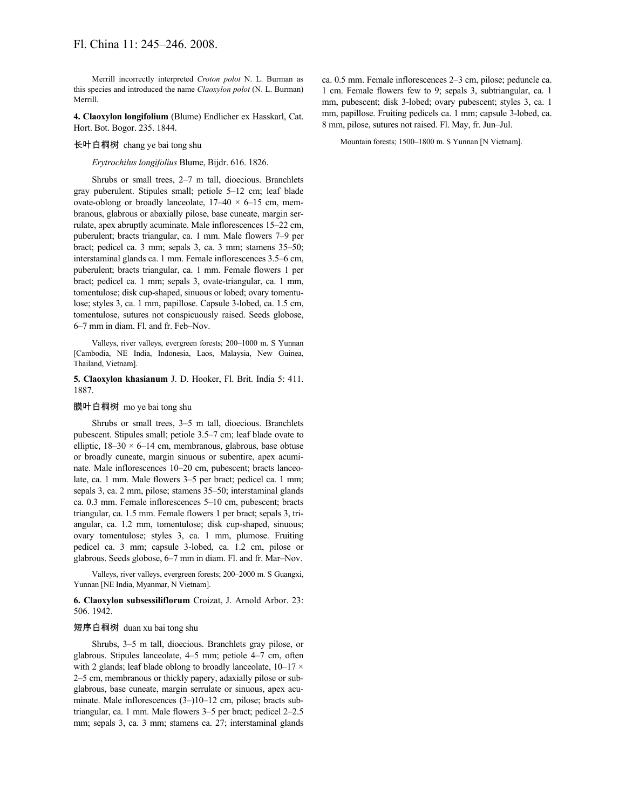Merrill incorrectly interpreted *Croton polot* N. L. Burman as this species and introduced the name *Claoxylon polot* (N. L. Burman) Merrill.

**4. Claoxylon longifolium** (Blume) Endlicher ex Hasskarl, Cat. Hort. Bot. Bogor. 235. 1844.

### 长叶白桐树 chang ye bai tong shu

*Erytrochilus longifolius* Blume, Bijdr. 616. 1826.

Shrubs or small trees, 2–7 m tall, dioecious. Branchlets gray puberulent. Stipules small; petiole 5–12 cm; leaf blade ovate-oblong or broadly lanceolate,  $17-40 \times 6-15$  cm, membranous, glabrous or abaxially pilose, base cuneate, margin serrulate, apex abruptly acuminate. Male inflorescences 15–22 cm, puberulent; bracts triangular, ca. 1 mm. Male flowers 7–9 per bract; pedicel ca. 3 mm; sepals 3, ca. 3 mm; stamens 35–50; interstaminal glands ca. 1 mm. Female inflorescences 3.5–6 cm, puberulent; bracts triangular, ca. 1 mm. Female flowers 1 per bract; pedicel ca. 1 mm; sepals 3, ovate-triangular, ca. 1 mm, tomentulose; disk cup-shaped, sinuous or lobed; ovary tomentulose; styles 3, ca. 1 mm, papillose. Capsule 3-lobed, ca. 1.5 cm, tomentulose, sutures not conspicuously raised. Seeds globose, 6–7 mm in diam. Fl. and fr. Feb–Nov.

Valleys, river valleys, evergreen forests; 200–1000 m. S Yunnan [Cambodia, NE India, Indonesia, Laos, Malaysia, New Guinea, Thailand, Vietnam].

### **5. Claoxylon khasianum** J. D. Hooker, Fl. Brit. India 5: 411. 1887.

#### 膜叶白桐树 mo ye bai tong shu

Shrubs or small trees, 3–5 m tall, dioecious. Branchlets pubescent. Stipules small; petiole 3.5–7 cm; leaf blade ovate to elliptic,  $18-30 \times 6-14$  cm, membranous, glabrous, base obtuse or broadly cuneate, margin sinuous or subentire, apex acuminate. Male inflorescences 10–20 cm, pubescent; bracts lanceolate, ca. 1 mm. Male flowers 3–5 per bract; pedicel ca. 1 mm; sepals 3, ca. 2 mm, pilose; stamens 35–50; interstaminal glands ca. 0.3 mm. Female inflorescences 5–10 cm, pubescent; bracts triangular, ca. 1.5 mm. Female flowers 1 per bract; sepals 3, triangular, ca. 1.2 mm, tomentulose; disk cup-shaped, sinuous; ovary tomentulose; styles 3, ca. 1 mm, plumose. Fruiting pedicel ca. 3 mm; capsule 3-lobed, ca. 1.2 cm, pilose or glabrous. Seeds globose, 6–7 mm in diam. Fl. and fr. Mar–Nov.

Valleys, river valleys, evergreen forests; 200–2000 m. S Guangxi, Yunnan [NE India, Myanmar, N Vietnam].

# **6. Claoxylon subsessiliflorum** Croizat, J. Arnold Arbor. 23: 506. 1942.

#### 短序白桐树 duan xu bai tong shu

Shrubs, 3–5 m tall, dioecious. Branchlets gray pilose, or glabrous. Stipules lanceolate, 4–5 mm; petiole 4–7 cm, often with 2 glands; leaf blade oblong to broadly lanceolate,  $10-17 \times$ 2–5 cm, membranous or thickly papery, adaxially pilose or subglabrous, base cuneate, margin serrulate or sinuous, apex acuminate. Male inflorescences (3–)10–12 cm, pilose; bracts subtriangular, ca. 1 mm. Male flowers 3–5 per bract; pedicel 2–2.5 mm; sepals 3, ca. 3 mm; stamens ca. 27; interstaminal glands ca. 0.5 mm. Female inflorescences 2–3 cm, pilose; peduncle ca. 1 cm. Female flowers few to 9; sepals 3, subtriangular, ca. 1 mm, pubescent; disk 3-lobed; ovary pubescent; styles 3, ca. 1 mm, papillose. Fruiting pedicels ca. 1 mm; capsule 3-lobed, ca. 8 mm, pilose, sutures not raised. Fl. May, fr. Jun–Jul.

Mountain forests; 1500–1800 m. S Yunnan [N Vietnam].